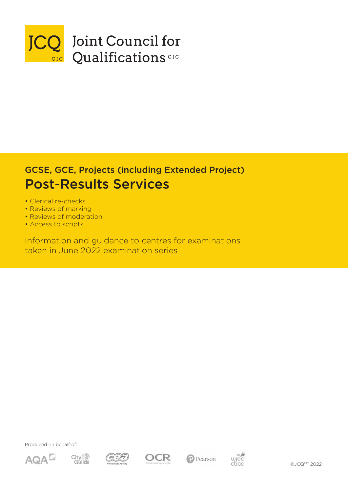

## GCSE, GCE, Projects (including Extended Project) Post-Results Services

- Clerical re-checks
- Reviews of marking
- Reviews of moderation
- Access to scripts

Information and guidance to centres for examinations taken in June 2022 examination series

Produced on behalf of:











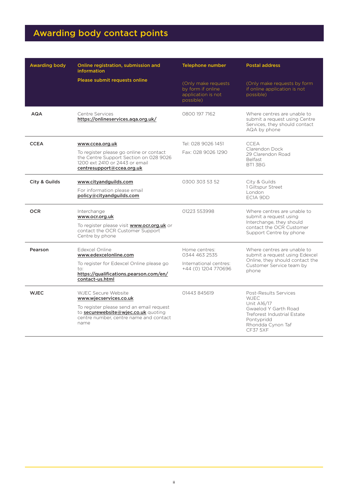## Awarding body contact points

| <b>Awarding body</b><br>Online registration, submission and<br><b>information</b> |                                                                                                                                                                                                                                            | <b>Telephone number</b>                                                     | <b>Postal address</b>                                                                                                                                            |  |
|-----------------------------------------------------------------------------------|--------------------------------------------------------------------------------------------------------------------------------------------------------------------------------------------------------------------------------------------|-----------------------------------------------------------------------------|------------------------------------------------------------------------------------------------------------------------------------------------------------------|--|
|                                                                                   | Please submit requests online                                                                                                                                                                                                              | (Only make requests<br>by form if online<br>application is not<br>possible) | (Only make requests by form<br>if online application is not<br>possible)                                                                                         |  |
| <b>AQA</b>                                                                        | Centre Services<br>https://onlineservices.aga.org.uk/                                                                                                                                                                                      | 0800 197 7162                                                               | Where centres are unable to<br>submit a request using Centre<br>Services, they should contact<br>AQA by phone                                                    |  |
| <b>CCEA</b>                                                                       | www.ccea.org.uk<br>To register please go online or contact<br>the Centre Support Section on 028 9026<br>1200 ext 2410 or 2443 or email<br>centresupport@ccea.org.uk                                                                        | Tel: 028 9026 1451<br>Fax: 028 9026 1290                                    | <b>CCEA</b><br>Clarendon Dock<br>29 Clarendon Road<br><b>Belfast</b><br>BT1 3BG                                                                                  |  |
| City & Guilds                                                                     | www.cityandguilds.com<br>For information please email<br>policy@cityandguilds.com                                                                                                                                                          | 0300 303 53 52                                                              | City & Guilds<br>1 Giltspur Street<br>London<br>EC1A 9DD                                                                                                         |  |
| <b>OCR</b>                                                                        | Interchange<br>www.ocr.org.uk<br>To register please visit www.ocr.org.uk or<br>contact the OCR Customer Support<br>Centre by phone                                                                                                         | 01223 553998                                                                | Where centres are unable to<br>submit a request using<br>Interchange, they should<br>contact the OCR Customer<br>Support Centre by phone                         |  |
| Pearson                                                                           | Edexcel Online<br>Home centres:<br>0344 463 2535<br>www.edexcelonline.com<br>To register for Edexcel Online please go<br>International centres:<br>+44 (0) 1204 770696<br>to:<br>https://qualifications.pearson.com/en/<br>contact-us.html |                                                                             | Where centres are unable to<br>submit a request using Edexcel<br>Online, they should contact the<br>Customer Service team by<br>phone                            |  |
| <b>WJEC</b>                                                                       | WJEC Secure Website<br>www.wjecservices.co.uk<br>To register please send an email request<br>to securewebsite@wjec.co.uk quoting<br>centre number, centre name and contact<br>name                                                         | 01443845619                                                                 | Post-Results Services<br><b>WJEC</b><br>Unit A16/17<br>Gwaelod Y Garth Road<br>Treforest Industrial Estate<br>Pontypridd<br>Rhondda Cynon Taf<br><b>CF37 5XF</b> |  |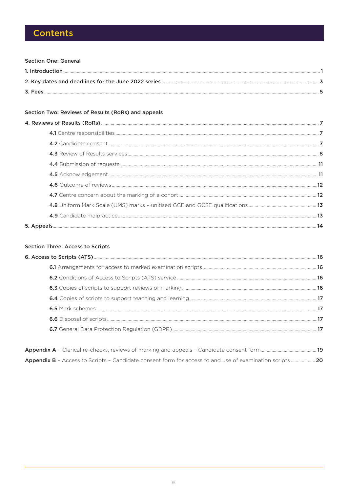## **Contents**

#### **Section One: General**

| 3. Fees |  |
|---------|--|

#### Section Two: Reviews of Results (RoRs) and appeals

#### **Section Three: Access to Scripts**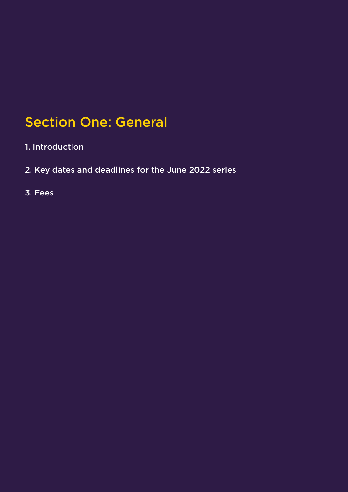## Section One: General

- 1. Introduction
- 2. Key dates and deadlines for the June 2022 series
- 3. Fees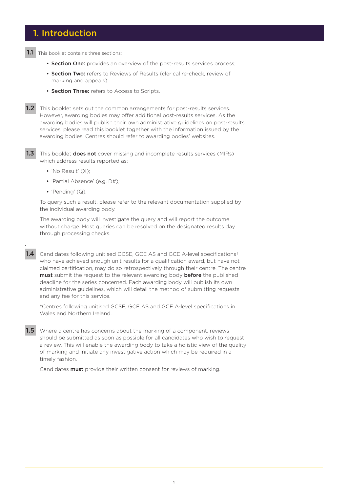## 1. Introduction

1.1 This booklet contains three sections:

- Section One: provides an overview of the post-results services process;
- Section Two: refers to Reviews of Results (clerical re-check, review of marking and appeals);
- **Section Three:** refers to Access to Scripts.

.

**1.2** This booklet sets out the common arrangements for post-results services. However, awarding bodies may offer additional post-results services. As the awarding bodies will publish their own administrative guidelines on post-results services, please read this booklet together with the information issued by the awarding bodies. Centres should refer to awarding bodies' websites.

1.3 This booklet **does not** cover missing and incomplete results services (MIRs) which address results reported as:

- 'No Result' (X);
- 'Partial Absence' (e.g. D#);
- 'Pending' (Q).

To query such a result, please refer to the relevant documentation supplied by the individual awarding body.

The awarding body will investigate the query and will report the outcome without charge. Most queries can be resolved on the designated results day through processing checks.

1.4 Candidates following unitised GCSE, GCE AS and GCE A-level specifications<sup>+</sup> who have achieved enough unit results for a qualification award, but have not claimed certification, may do so retrospectively through their centre. The centre must submit the request to the relevant awarding body before the published deadline for the series concerned. Each awarding body will publish its own administrative guidelines, which will detail the method of submitting requests and any fee for this service.

†Centres following unitised GCSE, GCE AS and GCE A-level specifications in Wales and Northern Ireland.

1.5 Where a centre has concerns about the marking of a component, reviews should be submitted as soon as possible for all candidates who wish to request a review. This will enable the awarding body to take a holistic view of the quality of marking and initiate any investigative action which may be required in a timely fashion.

Candidates **must** provide their written consent for reviews of marking.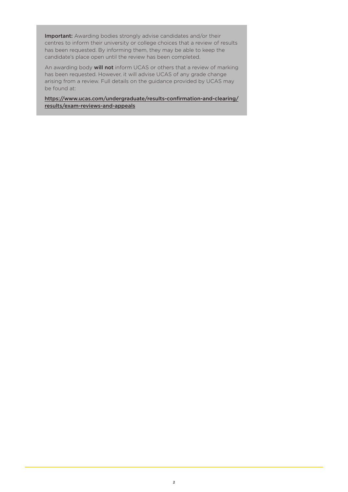Important: Awarding bodies strongly advise candidates and/or their centres to inform their university or college choices that a review of results has been requested. By informing them, they may be able to keep the candidate's place open until the review has been completed.

An awarding body **will not** inform UCAS or others that a review of marking has been requested. However, it will advise UCAS of any grade change arising from a review. Full details on the guidance provided by UCAS may be found at:

[https://www.ucas.com/undergraduate/results-confirmation-and-clearing/](https://www.ucas.com/undergraduate/results-confirmation-and-clearing/results/thinking-appealing-your-grades) [results/exam-reviews-and-appeals](https://www.ucas.com/undergraduate/results-confirmation-and-clearing/results/thinking-appealing-your-grades)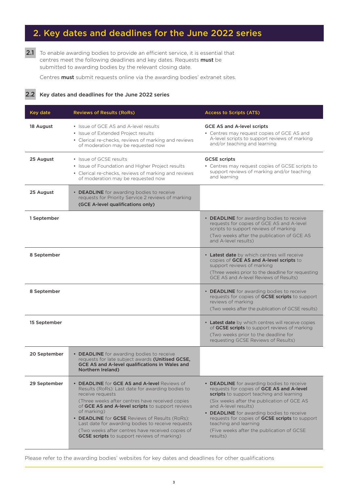## 2. Key dates and deadlines for the June 2022 series

2.1 To enable awarding bodies to provide an efficient service, it is essential that centres meet the following deadlines and key dates. Requests must be submitted to awarding bodies by the relevant closing date.

Centres must submit requests online via the awarding bodies' extranet sites.

2.2 Key dates and deadlines for the June 2022 series

| Key date     | <b>Reviews of Results (RoRs)</b>                                                                                                                                                                                                                                                                                                                                                                                                                            | <b>Access to Scripts (ATS)</b>                                                                                                                                                                                                                                                                                                                                                            |
|--------------|-------------------------------------------------------------------------------------------------------------------------------------------------------------------------------------------------------------------------------------------------------------------------------------------------------------------------------------------------------------------------------------------------------------------------------------------------------------|-------------------------------------------------------------------------------------------------------------------------------------------------------------------------------------------------------------------------------------------------------------------------------------------------------------------------------------------------------------------------------------------|
| 18 August    | • Issue of GCE AS and A-level results<br>• Issue of Extended Project results<br>• Clerical re-checks, reviews of marking and reviews<br>of moderation may be requested now                                                                                                                                                                                                                                                                                  | <b>GCE AS and A-level scripts</b><br>• Centres may request copies of GCE AS and<br>A-level scripts to support reviews of marking<br>and/or teaching and learning                                                                                                                                                                                                                          |
| 25 August    | • Issue of GCSE results<br>• Issue of Foundation and Higher Project results<br>• Clerical re-checks, reviews of marking and reviews<br>of moderation may be requested now                                                                                                                                                                                                                                                                                   | <b>GCSE scripts</b><br>• Centres may request copies of GCSE scripts to<br>support reviews of marking and/or teaching<br>and learning                                                                                                                                                                                                                                                      |
| 25 August    | • DEADLINE for awarding bodies to receive<br>requests for Priority Service 2 reviews of marking<br>(GCE A-level qualifications only)                                                                                                                                                                                                                                                                                                                        |                                                                                                                                                                                                                                                                                                                                                                                           |
| 1 September  |                                                                                                                                                                                                                                                                                                                                                                                                                                                             | • <b>DEADLINE</b> for awarding bodies to receive<br>requests for copies of GCE AS and A-level<br>scripts to support reviews of marking<br>(Two weeks after the publication of GCE AS<br>and A-level results)                                                                                                                                                                              |
| 8 September  |                                                                                                                                                                                                                                                                                                                                                                                                                                                             | • Latest date by which centres will receive<br>copies of GCE AS and A-level scripts to<br>support reviews of marking<br>(Three weeks prior to the deadline for requesting<br>GCE AS and A-level Reviews of Results)                                                                                                                                                                       |
| 8 September  |                                                                                                                                                                                                                                                                                                                                                                                                                                                             | • DEADLINE for awarding bodies to receive<br>requests for copies of GCSE scripts to support<br>reviews of marking<br>(Two weeks after the publication of GCSE results)                                                                                                                                                                                                                    |
| 15 September |                                                                                                                                                                                                                                                                                                                                                                                                                                                             | • Latest date by which centres will receive copies<br>of GCSE scripts to support reviews of marking<br>(Two weeks prior to the deadline for<br>requesting GCSE Reviews of Results)                                                                                                                                                                                                        |
| 20 September | • DEADLINE for awarding bodies to receive<br>requests for late subject awards (Unitised GCSE,<br>GCE AS and A-level qualifications in Wales and<br>Northern Ireland)                                                                                                                                                                                                                                                                                        |                                                                                                                                                                                                                                                                                                                                                                                           |
| 29 September | • DEADLINE for GCE AS and A-level Reviews of<br>Results (RoRs): Last date for awarding bodies to<br>receive requests<br>(Three weeks after centres have received copies<br>of GCE AS and A-level scripts to support reviews<br>of marking)<br>• DEADLINE for GCSE Reviews of Results (RoRs):<br>Last date for awarding bodies to receive requests<br>(Two weeks after centres have received copies of<br><b>GCSE scripts</b> to support reviews of marking) | • DEADLINE for awarding bodies to receive<br>requests for copies of GCE AS and A-level<br>scripts to support teaching and learning<br>(Six weeks after the publication of GCE AS<br>and A-level results)<br>• DEADLINE for awarding bodies to receive<br>requests for copies of GCSE scripts to support<br>teaching and learning<br>(Five weeks after the publication of GCSE<br>results) |

Please refer to the awarding bodies' websites for key dates and deadlines for other qualifications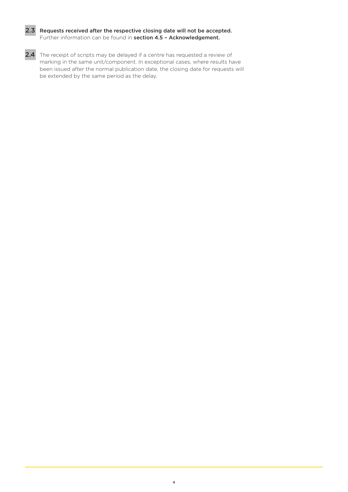

#### 2.3 Requests received after the respective closing date will not be accepted. Further information can be found in **section 4.5 - Acknowledgement.**

2.4 The receipt of scripts may be delayed if a centre has requested a review of marking in the same unit/component. In exceptional cases, where results have been issued after the normal publication date, the closing date for requests will be extended by the same period as the delay.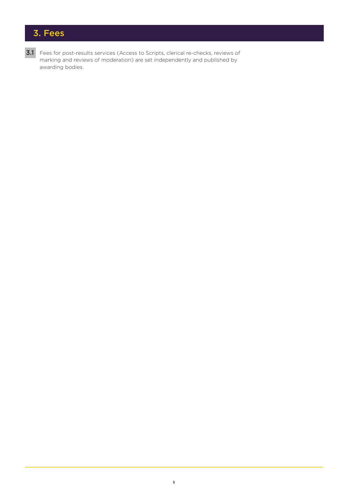## 3. Fees

3.1 Fees for post-results services (Access to Scripts, clerical re-checks, reviews of marking and reviews of moderation) are set independently and published by awarding bodies.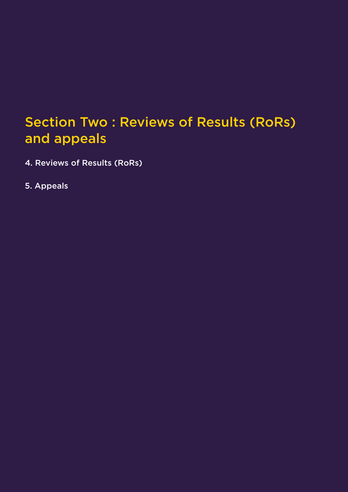## Section Two : Reviews of Results (RoRs) and appeals

- 4. Reviews of Results (RoRs)
- 5. Appeals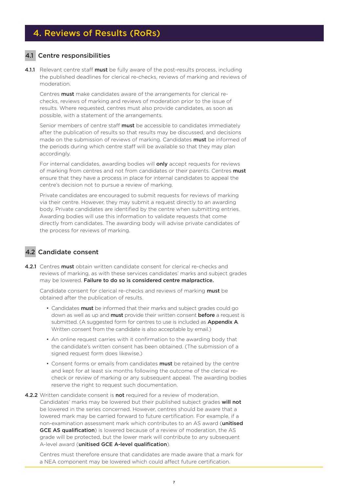## 4. Reviews of Results (RoRs)

#### 4.1 Centre responsibilities

4.1.1 Relevant centre staff must be fully aware of the post-results process, including the published deadlines for clerical re-checks, reviews of marking and reviews of moderation.

Centres must make candidates aware of the arrangements for clerical rechecks, reviews of marking and reviews of moderation prior to the issue of results. Where requested, centres must also provide candidates, as soon as possible, with a statement of the arrangements.

Senior members of centre staff must be accessible to candidates immediately after the publication of results so that results may be discussed, and decisions made on the submission of reviews of marking. Candidates **must** be informed of the periods during which centre staff will be available so that they may plan accordingly.

For internal candidates, awarding bodies will **only** accept requests for reviews of marking from centres and not from candidates or their parents. Centres must ensure that they have a process in place for internal candidates to appeal the centre's decision not to pursue a review of marking.

Private candidates are encouraged to submit requests for reviews of marking via their centre. However, they may submit a request directly to an awarding body. Private candidates are identified by the centre when submitting entries. Awarding bodies will use this information to validate requests that come directly from candidates. The awarding body will advise private candidates of the process for reviews of marking.

#### 4.2 Candidate consent

4.2.1 Centres must obtain written candidate consent for clerical re-checks and reviews of marking, as with these services candidates' marks and subject grades may be lowered. Failure to do so is considered centre malpractice.

Candidate consent for clerical re-checks and reviews of marking must be obtained after the publication of results.

- Candidates **must** be informed that their marks and subject grades could go down as well as up and **must** provide their written consent **before** a request is submitted. (A suggested form for centres to use is included as Appendix A. Written consent from the candidate is also acceptable by email.)
- An online request carries with it confirmation to the awarding body that the candidate's written consent has been obtained. (The submission of a signed request form does likewise.)
- Consent forms or emails from candidates must be retained by the centre and kept for at least six months following the outcome of the clerical recheck or review of marking or any subsequent appeal. The awarding bodies reserve the right to request such documentation.
- 4.2.2 Written candidate consent is not required for a review of moderation. Candidates' marks may be lowered but their published subject grades will not be lowered in the series concerned. However, centres should be aware that a lowered mark may be carried forward to future certification. For example, if a non-examination assessment mark which contributes to an AS award (unitised GCE AS qualification) is lowered because of a review of moderation, the AS grade will be protected, but the lower mark will contribute to any subsequent A-level award (unitised GCE A-level qualification).

Centres must therefore ensure that candidates are made aware that a mark for a NEA component may be lowered which could affect future certification.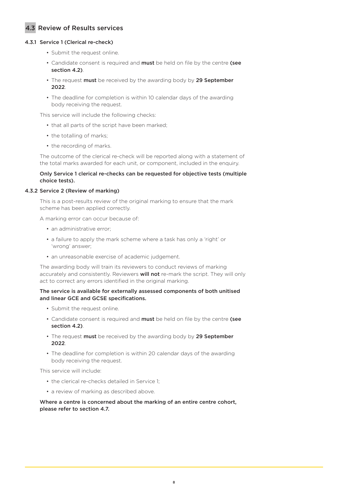#### 4.3 Review of Results services

#### 4.3.1 Service 1 (Clerical re-check)

- Submit the request online.
- Candidate consent is required and must be held on file by the centre (see section 4.2).
- The request must be received by the awarding body by 29 September 2022.
- The deadline for completion is within 10 calendar days of the awarding body receiving the request.

This service will include the following checks:

- that all parts of the script have been marked;
- the totalling of marks;
- the recording of marks.

The outcome of the clerical re-check will be reported along with a statement of the total marks awarded for each unit, or component, included in the enquiry.

#### Only Service 1 clerical re-checks can be requested for objective tests (multiple choice tests).

#### 4.3.2 Service 2 (Review of marking)

This is a post-results review of the original marking to ensure that the mark scheme has been applied correctly.

A marking error can occur because of:

- an administrative error;
- a failure to apply the mark scheme where a task has only a 'right' or 'wrong' answer;
- an unreasonable exercise of academic judgement.

The awarding body will train its reviewers to conduct reviews of marking accurately and consistently. Reviewers will not re-mark the script. They will only act to correct any errors identified in the original marking.

#### The service is available for externally assessed components of both unitised and linear GCE and GCSE specifications.

- Submit the request online.
- Candidate consent is required and must be held on file by the centre (see section 4.2).
- The request must be received by the awarding body by 29 September 2022.
- The deadline for completion is within 20 calendar days of the awarding body receiving the request.

This service will include:

- the clerical re-checks detailed in Service 1;
- a review of marking as described above.

Where a centre is concerned about the marking of an entire centre cohort, please refer to section 4.7.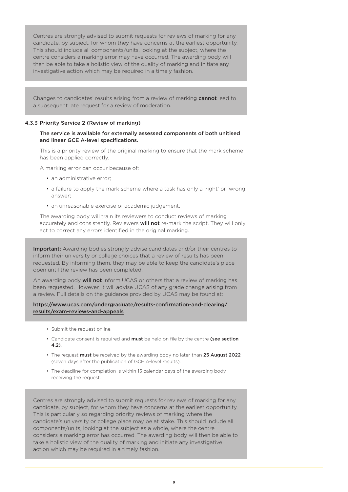Centres are strongly advised to submit requests for reviews of marking for any candidate, by subject, for whom they have concerns at the earliest opportunity. This should include all components/units, looking at the subject, where the centre considers a marking error may have occurred. The awarding body will then be able to take a holistic view of the quality of marking and initiate any investigative action which may be required in a timely fashion.

Changes to candidates' results arising from a review of marking **cannot** lead to a subsequent late request for a review of moderation.

#### 4.3.3 Priority Service 2 (Review of marking)

#### The service is available for externally assessed components of both unitised and linear GCE A-level specifications.

This is a priority review of the original marking to ensure that the mark scheme has been applied correctly.

A marking error can occur because of:

- an administrative error:
- a failure to apply the mark scheme where a task has only a 'right' or 'wrong' answer;
- an unreasonable exercise of academic judgement.

The awarding body will train its reviewers to conduct reviews of marking accurately and consistently. Reviewers **will not** re-mark the script. They will only act to correct any errors identified in the original marking.

Important: Awarding bodies strongly advise candidates and/or their centres to inform their university or college choices that a review of results has been requested. By informing them, they may be able to keep the candidate's place open until the review has been completed.

An awarding body **will not** inform UCAS or others that a review of marking has been requested. However, it will advise UCAS of any grade change arising from a review. Full details on the guidance provided by UCAS may be found at:

#### [https://www.ucas.com/undergraduate/results-confirmation-and-clearing/](https://www.ucas.com/undergraduate/results-confirmation-and-clearing/results/thinking-appealing-your-grades) [results/exam-reviews-and-appeals](https://www.ucas.com/undergraduate/results-confirmation-and-clearing/results/thinking-appealing-your-grades)

- Submit the request online.
- Candidate consent is required and must be held on file by the centre (see section 4.2).
- The request must be received by the awarding body no later than 25 August 2022 (seven days after the publication of GCE A-level results).
- The deadline for completion is within 15 calendar days of the awarding body receiving the request.

Centres are strongly advised to submit requests for reviews of marking for any candidate, by subject, for whom they have concerns at the earliest opportunity. This is particularly so regarding priority reviews of marking where the candidate's university or college place may be at stake. This should include all components/units, looking at the subject as a whole, where the centre considers a marking error has occurred. The awarding body will then be able to take a holistic view of the quality of marking and initiate any investigative action which may be required in a timely fashion.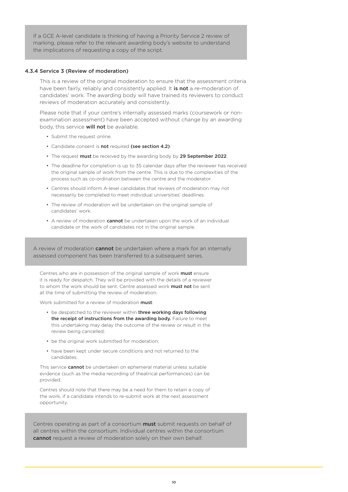If a GCE A-level candidate is thinking of having a Priority Service 2 review of marking, please refer to the relevant awarding body's website to understand the implications of requesting a copy of the script.

#### 4.3.4 Service 3 (Review of moderation)

This is a review of the original moderation to ensure that the assessment criteria have been fairly, reliably and consistently applied. It is not a re-moderation of candidates' work. The awarding body will have trained its reviewers to conduct reviews of moderation accurately and consistently.

Please note that if your centre's internally assessed marks (coursework or nonexamination assessment) have been accepted without change by an awarding body, this service will not be available.

- Submit the request online.
- Candidate consent is not required (see section 4.2).
- The request must be received by the awarding body by 29 September 2022.
- The deadline for completion is up to 35 calendar days after the reviewer has received the original sample of work from the centre. This is due to the complexities of the process such as co-ordination between the centre and the moderator.
- Centres should inform A-level candidates that reviews of moderation may not necessarily be completed to meet individual universities' deadlines.
- The review of moderation will be undertaken on the original sample of candidates' work.
- A review of moderation cannot be undertaken upon the work of an individual candidate or the work of candidates not in the original sample.

A review of moderation **cannot** be undertaken where a mark for an internally assessed component has been transferred to a subsequent series.

Centres who are in possession of the original sample of work **must** ensure it is ready for despatch. They will be provided with the details of a reviewer to whom the work should be sent. Centre assessed work must not be sent at the time of submitting the review of moderation.

Work submitted for a review of moderation must

- be despatched to the reviewer within three working days following the receipt of instructions from the awarding body. Failure to meet this undertaking may delay the outcome of the review or result in the review being cancelled;
- be the original work submitted for moderation;
- have been kept under secure conditions and not returned to the candidates.

This service **cannot** be undertaken on ephemeral material unless suitable evidence (such as the media recording of theatrical performances) can be provided.

Centres should note that there may be a need for them to retain a copy of the work, if a candidate intends to re-submit work at the next assessment opportunity.

Centres operating as part of a consortium **must** submit requests on behalf of all centres within the consortium. Individual centres within the consortium cannot request a review of moderation solely on their own behalf.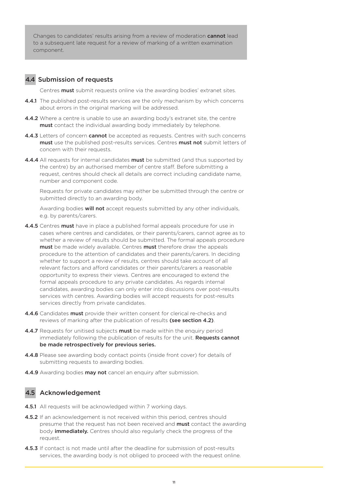Changes to candidates' results arising from a review of moderation **cannot** lead to a subsequent late request for a review of marking of a written examination component.

#### 4.4 Submission of requests

Centres **must** submit requests online via the awarding bodies' extranet sites.

- **4.4.1** The published post-results services are the only mechanism by which concerns about errors in the original marking will be addressed.
- 4.4.2 Where a centre is unable to use an awarding body's extranet site, the centre must contact the individual awarding body immediately by telephone.
- **4.4.3** Letters of concern **cannot** be accepted as requests. Centres with such concerns must use the published post-results services. Centres must not submit letters of concern with their requests.
- 4.4.4 All requests for internal candidates must be submitted (and thus supported by the centre) by an authorised member of centre staff. Before submitting a request, centres should check all details are correct including candidate name, number and component code.

Requests for private candidates may either be submitted through the centre or submitted directly to an awarding body.

Awarding bodies **will not** accept requests submitted by any other individuals, e.g. by parents/carers.

- 4.4.5 Centres must have in place a published formal appeals procedure for use in cases where centres and candidates, or their parents/carers, cannot agree as to whether a review of results should be submitted. The formal appeals procedure must be made widely available. Centres must therefore draw the appeals procedure to the attention of candidates and their parents/carers. In deciding whether to support a review of results, centres should take account of all relevant factors and afford candidates or their parents/carers a reasonable opportunity to express their views. Centres are encouraged to extend the formal appeals procedure to any private candidates. As regards internal candidates, awarding bodies can only enter into discussions over post-results services with centres. Awarding bodies will accept requests for post-results services directly from private candidates.
- 4.4.6 Candidates must provide their written consent for clerical re-checks and reviews of marking after the publication of results (see section 4.2).
- 4.4.7 Requests for unitised subjects must be made within the enquiry period immediately following the publication of results for the unit. Requests cannot be made retrospectively for previous series.
- 4.4.8 Please see awarding body contact points (inside front cover) for details of submitting requests to awarding bodies.
- 4.4.9 Awarding bodies may not cancel an enquiry after submission.

#### 4.5 Acknowledgement

- 4.5.1 All requests will be acknowledged within 7 working days.
- 4.5.2 If an acknowledgement is not received within this period, centres should presume that the request has not been received and **must** contact the awarding body *immediately*. Centres should also regularly check the progress of the request.
- 4.5.3 If contact is not made until after the deadline for submission of post-results services, the awarding body is not obliged to proceed with the request online.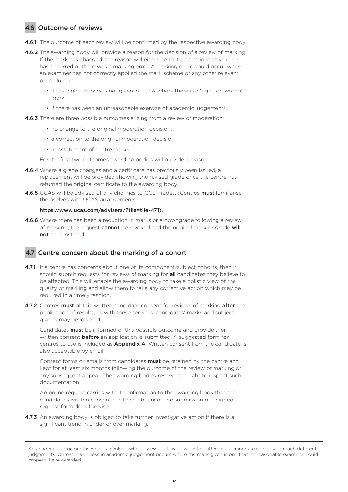### 4.6 Outcome of reviews

- **4.6.1** The outcome of each review will be confirmed by the respective awarding body.
- **4.6.2** The awarding body will provide a reason for the decision of a review of marking. If the mark has changed, the reason will either be that an administrative error has occurred or there was a marking error. A marking error would occur where an examiner has not correctly applied the mark scheme or any other relevant procedure, i.e.
	- if the 'right' mark was not given in a task where there is a 'right' or 'wrong' mark;
	- if there has been an unreasonable exercise of academic judgement†.

**4.6.3** There are three possible outcomes arising from a review of moderation:

- no change to the original moderation decision;
- a correction to the original moderation decision;
- reinstatement of centre marks.

For the first two outcomes awarding bodies will provide a reason.

- 4.6.4 Where a grade changes and a certificate has previously been issued, a replacement will be provided showing the revised grade once the centre has returned the original certificate to the awarding body.
- 4.6.5 UCAS will be advised of any changes to GCE grades. (Centres must familiarise themselves with UCAS arrangements:

#### [https://www.ucas.com/advisers/?tile=tile-471\)](https://www.ucas.com/advisers/?tile=tile-471).

**4.6.6** Where there has been a reduction in marks or a downgrade following a review of marking, the request **cannot** be revoked and the original mark or grade will not be reinstated.

#### 4.7 Centre concern about the marking of a cohort

- 4.7.1 If a centre has concerns about one of its component/subject cohorts, then it should submit requests for reviews of marking for **all** candidates they believe to be affected. This will enable the awarding body to take a holistic view of the quality of marking and allow them to take any corrective action which may be required in a timely fashion.
- 4.7.2 Centres must obtain written candidate consent for reviews of marking after the publication of results, as with these services, candidates' marks and subject grades may be lowered.

Candidates must be informed of this possible outcome and provide their written consent **before** an application is submitted. A suggested form for centres to use is included as **Appendix A**. Written consent from the candidate is also acceptable by email.

Consent forms or emails from candidates must be retained by the centre and kept for at least six months following the outcome of the review of marking or any subsequent appeal. The awarding bodies reserve the right to inspect such documentation.

An online request carries with it confirmation to the awarding body that the candidate's written consent has been obtained. The submission of a signed request form does likewise.

4.7.3 An awarding body is obliged to take further investigative action if there is a significant trend in under or over marking.

<sup>†</sup> An academic judgement is what is involved when assessing. It is possible for different examiners reasonably to reach different judgements. Unreasonableness in academic judgement occurs where the mark given is one that no reasonable examiner could properly have awarded.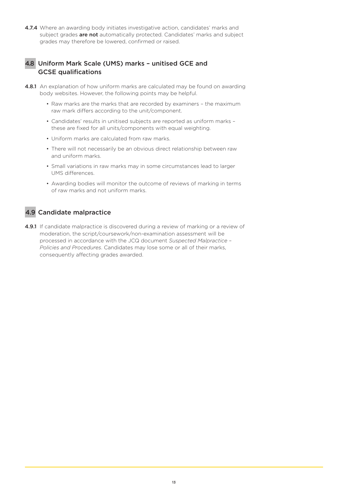4.7.4 Where an awarding body initiates investigative action, candidates' marks and subject grades are not automatically protected. Candidates' marks and subject grades may therefore be lowered, confirmed or raised.

#### 4.8 Uniform Mark Scale (UMS) marks – unitised GCE and GCSE qualifications

- **4.8.1** An explanation of how uniform marks are calculated may be found on awarding body websites. However, the following points may be helpful.
	- Raw marks are the marks that are recorded by examiners the maximum raw mark differs according to the unit/component.
	- Candidates' results in unitised subjects are reported as uniform marks these are fixed for all units/components with equal weighting.
	- Uniform marks are calculated from raw marks.
	- There will not necessarily be an obvious direct relationship between raw and uniform marks.
	- Small variations in raw marks may in some circumstances lead to larger UMS differences.
	- Awarding bodies will monitor the outcome of reviews of marking in terms of raw marks and not uniform marks.

#### 4.9 Candidate malpractice

4.9.1 If candidate malpractice is discovered during a review of marking or a review of moderation, the script/coursework/non-examination assessment will be processed in accordance with the JCQ document *Suspected Malpractice – Policies and Procedures*. Candidates may lose some or all of their marks, consequently affecting grades awarded.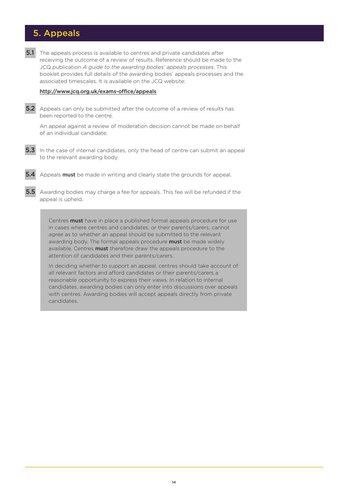## 5. Appeals

**5.1** The appeals process is available to centres and private candidates after receiving the outcome of a review of results. Reference should be made to the JCQ publication *A guide to the awarding bodies' appeals processes*. This booklet provides full details of the awarding bodies' appeals processes and the associated timescales. It is available on the JCQ website:

#### [http://www.jcq.org.uk/exams-office/appeals](https://www.jcq.org.uk/exams-office/appeals)

**5.2** Appeals can only be submitted after the outcome of a review of results has been reported to the centre.

An appeal against a review of moderation decision cannot be made on behalf of an individual candidate.

- **5.3** In the case of internal candidates, only the head of centre can submit an appeal to the relevant awarding body.
- **5.4** Appeals **must** be made in writing and clearly state the grounds for appeal.
- 5.5 Awarding bodies may charge a fee for appeals. This fee will be refunded if the appeal is upheld.

Centres **must** have in place a published formal appeals procedure for use in cases where centres and candidates, or their parents/carers, cannot agree as to whether an appeal should be submitted to the relevant awarding body. The formal appeals procedure must be made widely available. Centres **must** therefore draw the appeals procedure to the attention of candidates and their parents/carers.

In deciding whether to support an appeal, centres should take account of all relevant factors and afford candidates or their parents/carers a reasonable opportunity to express their views. In relation to internal candidates, awarding bodies can only enter into discussions over appeals with centres. Awarding bodies will accept appeals directly from private candidates.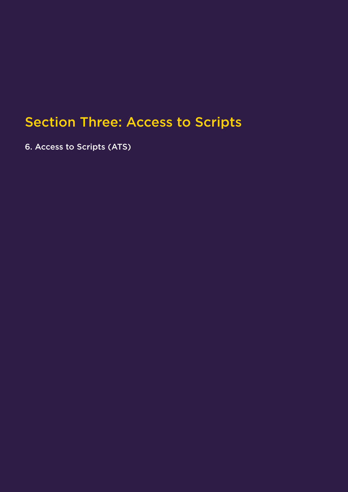# Section Three: Access to Scripts

6. Access to Scripts (ATS)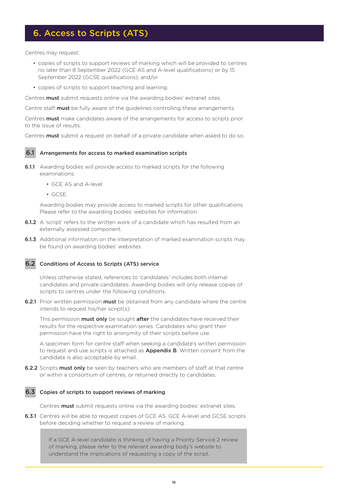## 6. Access to Scripts (ATS)

Centres may request:

- copies of scripts to support reviews of marking which will be provided to centres no later than 8 September 2022 (GCE AS and A-level qualifications) or by 15 September 2022 (GCSE qualifications); and/or
- copies of scripts to support teaching and learning.

Centres **must** submit requests online via the awarding bodies' extranet sites.

Centre staff **must** be fully aware of the quidelines controlling these arrangements.

Centres **must** make candidates aware of the arrangements for access to scripts prior to the issue of results.

Centres **must** submit a request on behalf of a private candidate when asked to do so.

#### 6.1 Arrangements for access to marked examination scripts

- **6.1.1** Awarding bodies will provide access to marked scripts for the following examinations:
	- GCE AS and A-level
	- GCSE.

Awarding bodies may provide access to marked scripts for other qualifications. Please refer to the awarding bodies' websites for information.

- 6.1.2 A 'script' refers to the written work of a candidate which has resulted from an externally assessed component.
- 6.1.3 Additional information on the interpretation of marked examination scripts may be found on awarding bodies' websites.

#### 6.2 Conditions of Access to Scripts (ATS) service

Unless otherwise stated, references to 'candidates' includes both internal candidates and private candidates. Awarding bodies will only release copies of scripts to centres under the following conditions.

**6.2.1** Prior written permission **must** be obtained from any candidate where the centre intends to request his/her script(s).

This permission **must only** be sought **after** the candidates have received their results for the respective examination series. Candidates who grant their permission have the right to anonymity of their scripts before use.

A specimen form for centre staff when seeking a candidate's written permission to request and use scripts is attached as **Appendix B**. Written consent from the candidate is also acceptable by email.

**6.2.2** Scripts **must only** be seen by teachers who are members of staff at that centre or within a consortium of centres, or returned directly to candidates.

#### 6.3 Copies of scripts to support reviews of marking

Centres **must** submit requests online via the awarding bodies' extranet sites.

6.3.1 Centres will be able to request copies of GCE AS, GCE A-level and GCSE scripts before deciding whether to request a review of marking.

> If a GCE A-level candidate is thinking of having a Priority Service 2 review of marking, please refer to the relevant awarding body's website to understand the implications of requesting a copy of the script.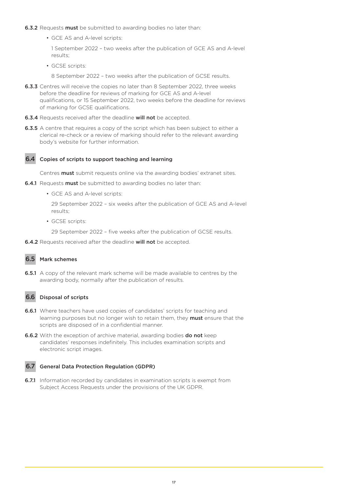- **6.3.2** Requests **must** be submitted to awarding bodies no later than:
	- GCE AS and A-level scripts:

1 September 2022 – two weeks after the publication of GCE AS and A-level results;

• GCSE scripts:

8 September 2022 – two weeks after the publication of GCSE results.

- **6.3.3** Centres will receive the copies no later than 8 September 2022, three weeks before the deadline for reviews of marking for GCE AS and A-level qualifications, or 15 September 2022, two weeks before the deadline for reviews of marking for GCSE qualifications.
- 6.3.4 Requests received after the deadline will not be accepted.
- **6.3.5** A centre that requires a copy of the script which has been subject to either a clerical re-check or a review of marking should refer to the relevant awarding body's website for further information.



#### 6.4 Copies of scripts to support teaching and learning

Centres **must** submit requests online via the awarding bodies' extranet sites.

- **6.4.1** Requests **must** be submitted to awarding bodies no later than:
	- GCE AS and A-level scripts:

29 September 2022 – six weeks after the publication of GCE AS and A-level results;

• GCSE scripts:

29 September 2022 – five weeks after the publication of GCSE results.

6.4.2 Requests received after the deadline will not be accepted.



#### 6.5 Mark schemes

**6.5.1** A copy of the relevant mark scheme will be made available to centres by the awarding body, normally after the publication of results.

#### 6.6 Disposal of scripts

- **6.6.1** Where teachers have used copies of candidates' scripts for teaching and learning purposes but no longer wish to retain them, they **must** ensure that the scripts are disposed of in a confidential manner.
- 6.6.2 With the exception of archive material, awarding bodies do not keep candidates' responses indefinitely. This includes examination scripts and electronic script images.

#### 6.7 General Data Protection Regulation (GDPR)

**6.7.1** Information recorded by candidates in examination scripts is exempt from Subject Access Requests under the provisions of the UK GDPR.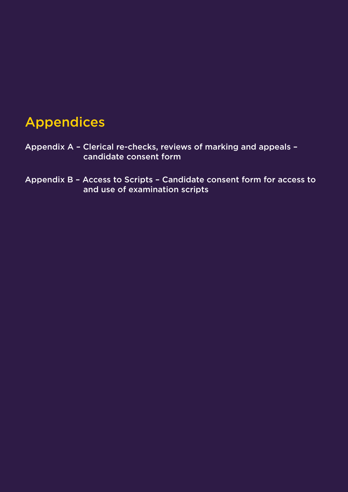## Appendices

- Appendix A Clerical re-checks, reviews of marking and appeals candidate consent form
- Appendix B Access to Scripts Candidate consent form for access to and use of examination scripts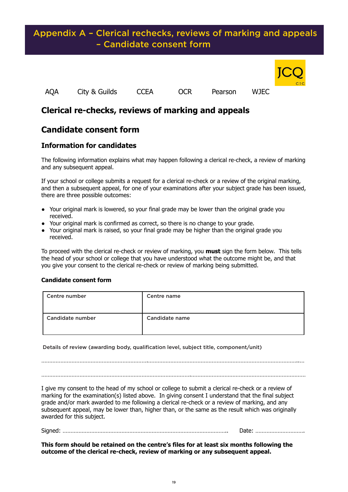### Appendix A – Clerical rechecks, reviews of marking and appeals – Candidate consent form



### **Clerical re-checks, reviews of marking and appeals**

### **Candidate consent form**

**Appendix A**

#### **Information for candidates**

The following information explains what may happen following a clerical re-check, a review of marking and any subsequent appeal.

If your school or college submits a request for a clerical re-check or a review of the original marking, and then a subsequent appeal, for one of your examinations after your subject grade has been issued, there are three possible outcomes:

- Your original mark is lowered, so your final grade may be lower than the original grade you received.
- Your original mark is confirmed as correct, so there is no change to your grade.
- Your original mark is raised, so your final grade may be higher than the original grade you received.

To proceed with the clerical re-check or review of marking, you **must** sign the form below. This tells the head of your school or college that you have understood what the outcome might be, and that you give your consent to the clerical re-check or review of marking being submitted.

#### **Candidate consent form**

| Centre number    | <b>Centre name</b> |
|------------------|--------------------|
| Candidate number | Candidate name     |

Details of review (awarding body, qualification level, subject title, component/unit)

………………………………………………………….…………………………………………………………………………………..… ………………………………………………………………………………….………………………………………………………………

I give my consent to the head of my school or college to submit a clerical re-check or a review of marking for the examination(s) listed above. In giving consent I understand that the final subject grade and/or mark awarded to me following a clerical re-check or a review of marking, and any subsequent appeal, may be lower than, higher than, or the same as the result which was originally awarded for this subject.

Signed: ………………………………………………………………………………………….. Date: ………………………….

**This form should be retained on the centre's files for at least six months following the outcome of the clerical re-check, review of marking or any subsequent appeal.**